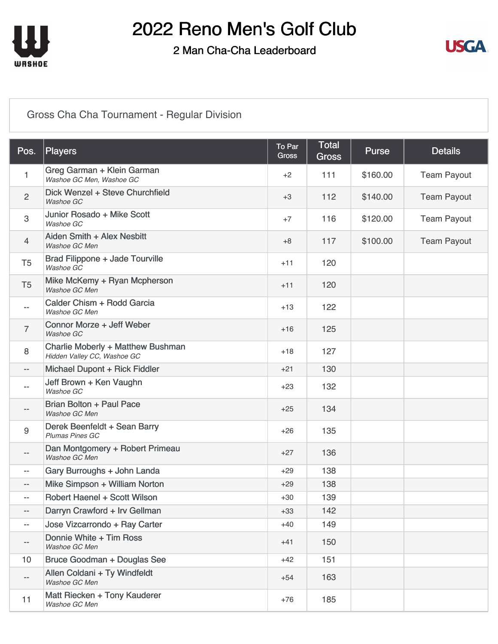

#### 2 Man Cha-Cha Leaderboard



#### [Gross Cha Cha Tournament - Regular Division](https://cdn2.golfgenius.com/v2tournaments/8393531068682099890?called_from=&round_index=2)

| Pos.                     | Players                                                          | To Par<br><b>Gross</b> | <b>Total</b><br><b>Gross</b> | <b>Purse</b> | <b>Details</b>     |
|--------------------------|------------------------------------------------------------------|------------------------|------------------------------|--------------|--------------------|
| $\mathbf{1}$             | Greg Garman + Klein Garman<br>Washoe GC Men, Washoe GC           | $+2$                   | 111                          | \$160.00     | <b>Team Payout</b> |
| $\overline{2}$           | Dick Wenzel + Steve Churchfield<br>Washoe GC                     | $+3$                   | 112                          | \$140.00     | <b>Team Payout</b> |
| 3                        | Junior Rosado + Mike Scott<br>Washoe GC                          | $+7$                   | 116                          | \$120.00     | <b>Team Payout</b> |
| $\overline{4}$           | Aiden Smith + Alex Nesbitt<br>Washoe GC Men                      | $+8$                   | 117                          | \$100.00     | <b>Team Payout</b> |
| T <sub>5</sub>           | Brad Filippone + Jade Tourville<br>Washoe GC                     | $+11$                  | 120                          |              |                    |
| T <sub>5</sub>           | Mike McKemy + Ryan Mcpherson<br>Washoe GC Men                    | $+11$                  | 120                          |              |                    |
| $- -$                    | Calder Chism + Rodd Garcia<br>Washoe GC Men                      | $+13$                  | 122                          |              |                    |
| $\overline{7}$           | Connor Morze + Jeff Weber<br>Washoe GC                           | $+16$                  | 125                          |              |                    |
| 8                        | Charlie Moberly + Matthew Bushman<br>Hidden Valley CC, Washoe GC | $+18$                  | 127                          |              |                    |
| $- -$                    | Michael Dupont + Rick Fiddler                                    | $+21$                  | 130                          |              |                    |
| $- -$                    | Jeff Brown + Ken Vaughn<br>Washoe GC                             | $+23$                  | 132                          |              |                    |
| $- -$                    | Brian Bolton + Paul Pace<br>Washoe GC Men                        | $+25$                  | 134                          |              |                    |
| 9                        | Derek Beenfeldt + Sean Barry<br>Plumas Pines GC                  | $+26$                  | 135                          |              |                    |
| $- -$                    | Dan Montgomery + Robert Primeau<br>Washoe GC Men                 | $+27$                  | 136                          |              |                    |
| $-$                      | Gary Burroughs + John Landa                                      | $+29$                  | 138                          |              |                    |
| $- -$                    | Mike Simpson + William Norton                                    | $+29$                  | 138                          |              |                    |
| $\qquad \qquad -$        | Robert Haenel + Scott Wilson                                     | $+30$                  | 139                          |              |                    |
| $\overline{\phantom{a}}$ | Darryn Crawford + Irv Gellman                                    | $+33$                  | 142                          |              |                    |
| $-$                      | Jose Vizcarrondo + Ray Carter                                    | $+40$                  | 149                          |              |                    |
| ——                       | Donnie White + Tim Ross<br>Washoe GC Men                         | $+41$                  | 150                          |              |                    |
| 10                       | Bruce Goodman + Douglas See                                      | $+42$                  | 151                          |              |                    |
| $\overline{\phantom{a}}$ | Allen Coldani + Ty Windfeldt<br>Washoe GC Men                    | $+54$                  | 163                          |              |                    |
| 11                       | Matt Riecken + Tony Kauderer<br>Washoe GC Men                    | $+76$                  | 185                          |              |                    |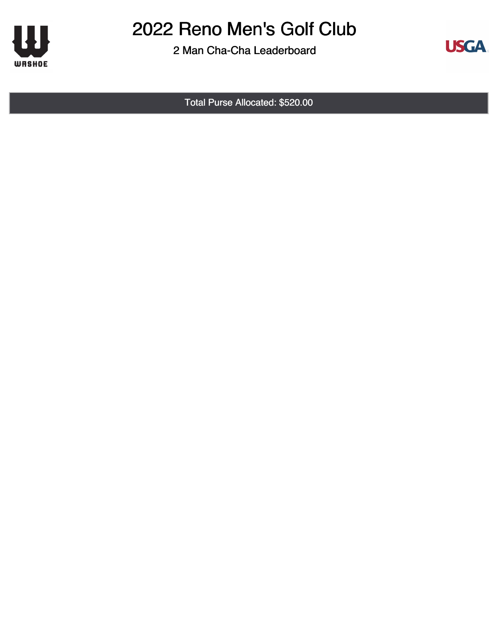

2 Man Cha-Cha Leaderboard



Total Purse Allocated: \$520.00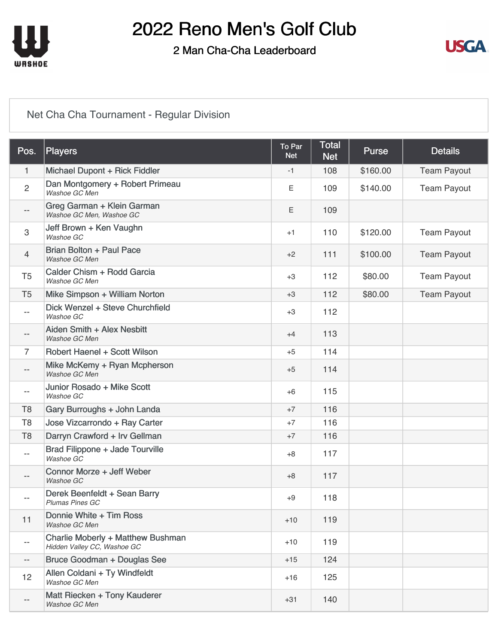

#### 2 Man Cha-Cha Leaderboard



#### [Net Cha Cha Tournament - Regular Division](https://cdn2.golfgenius.com/v2tournaments/8393531071735553203?called_from=&round_index=2)

| Pos.                     | Players                                                          | To Par<br><b>Net</b> | <b>Total</b><br><b>Net</b> | <b>Purse</b> | <b>Details</b>     |
|--------------------------|------------------------------------------------------------------|----------------------|----------------------------|--------------|--------------------|
| 1                        | Michael Dupont + Rick Fiddler                                    | $-1$                 | 108                        | \$160.00     | <b>Team Payout</b> |
| $\overline{2}$           | Dan Montgomery + Robert Primeau<br>Washoe GC Men                 | Е                    | 109                        | \$140.00     | <b>Team Payout</b> |
| $- -$                    | Greg Garman + Klein Garman<br>Washoe GC Men, Washoe GC           | Ε                    | 109                        |              |                    |
| 3                        | Jeff Brown + Ken Vaughn<br>Washoe GC                             | $+1$                 | 110                        | \$120.00     | <b>Team Payout</b> |
| $\overline{4}$           | Brian Bolton + Paul Pace<br>Washoe GC Men                        | $+2$                 | 111                        | \$100.00     | <b>Team Payout</b> |
| T <sub>5</sub>           | Calder Chism + Rodd Garcia<br>Washoe GC Men                      | $+3$                 | 112                        | \$80.00      | <b>Team Payout</b> |
| T <sub>5</sub>           | Mike Simpson + William Norton                                    | $+3$                 | 112                        | \$80.00      | <b>Team Payout</b> |
| $- -$                    | Dick Wenzel + Steve Churchfield<br>Washoe GC                     | $+3$                 | 112                        |              |                    |
| $- -$                    | Aiden Smith + Alex Nesbitt<br>Washoe GC Men                      | $+4$                 | 113                        |              |                    |
| $\overline{7}$           | Robert Haenel + Scott Wilson                                     | $+5$                 | 114                        |              |                    |
| $\overline{\phantom{a}}$ | Mike McKemy + Ryan Mcpherson<br>Washoe GC Men                    | $+5$                 | 114                        |              |                    |
| --                       | Junior Rosado + Mike Scott<br>Washoe GC                          | $+6$                 | 115                        |              |                    |
| T <sub>8</sub>           | Gary Burroughs + John Landa                                      | $+7$                 | 116                        |              |                    |
| T <sub>8</sub>           | Jose Vizcarrondo + Ray Carter                                    | $+7$                 | 116                        |              |                    |
| T <sub>8</sub>           | Darryn Crawford + Irv Gellman                                    | $+7$                 | 116                        |              |                    |
| $- -$                    | Brad Filippone + Jade Tourville<br>Washoe GC                     | $+8$                 | 117                        |              |                    |
| $-\,-$                   | Connor Morze + Jeff Weber<br>Washoe GC                           | $+8$                 | 117                        |              |                    |
| $-$                      | Derek Beenfeldt + Sean Barry<br><b>Plumas Pines GC</b>           | $+9$                 | 118                        |              |                    |
| 11                       | Donnie White + Tim Ross<br>Washoe GC Men                         | $+10$                | 119                        |              |                    |
| $- -$                    | Charlie Moberly + Matthew Bushman<br>Hidden Valley CC, Washoe GC | $+10$                | 119                        |              |                    |
| $\overline{\phantom{a}}$ | Bruce Goodman + Douglas See                                      | $+15$                | 124                        |              |                    |
| 12                       | Allen Coldani + Ty Windfeldt<br>Washoe GC Men                    | $+16$                | 125                        |              |                    |
| $- -$                    | Matt Riecken + Tony Kauderer<br>Washoe GC Men                    | $+31$                | 140                        |              |                    |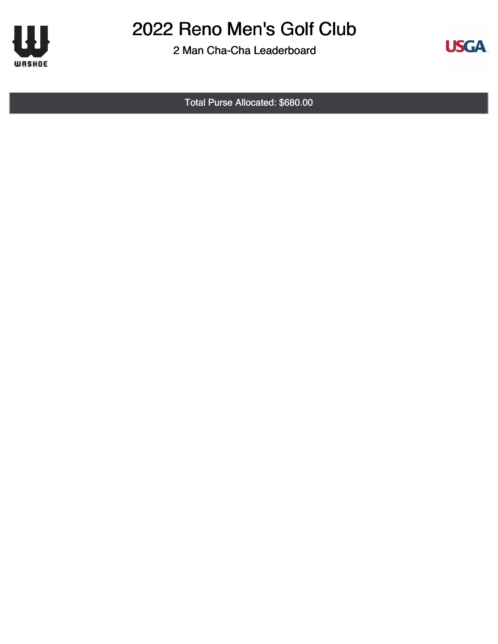

2 Man Cha-Cha Leaderboard



Total Purse Allocated: \$680.00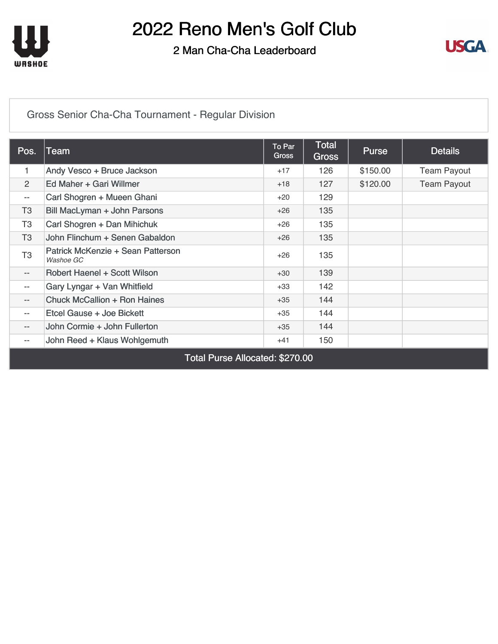

#### 2 Man Cha-Cha Leaderboard



[Gross Senior Cha-Cha Tournament - Regular Division](https://cdn2.golfgenius.com/v2tournaments/8393560026324688053?called_from=&round_index=2)

| Pos.                            | Team                                           | To Par<br><b>Gross</b> | <b>Total</b><br><b>Gross</b> | <b>Purse</b> | <b>Details</b>     |  |
|---------------------------------|------------------------------------------------|------------------------|------------------------------|--------------|--------------------|--|
| 1                               | Andy Vesco + Bruce Jackson                     | $+17$                  | 126                          | \$150.00     | <b>Team Payout</b> |  |
| 2                               | Ed Maher + Gari Willmer                        | $+18$                  | 127                          | \$120.00     | <b>Team Payout</b> |  |
| $- -$                           | Carl Shogren + Mueen Ghani                     | $+20$                  | 129                          |              |                    |  |
| T <sub>3</sub>                  | Bill MacLyman + John Parsons                   | $+26$                  | 135                          |              |                    |  |
| T <sub>3</sub>                  | Carl Shogren + Dan Mihichuk                    | $+26$                  | 135                          |              |                    |  |
| T <sub>3</sub>                  | John Flinchum + Senen Gabaldon                 | $+26$                  | 135                          |              |                    |  |
| T <sub>3</sub>                  | Patrick McKenzie + Sean Patterson<br>Washoe GC | $+26$                  | 135                          |              |                    |  |
| $- -$                           | Robert Haenel + Scott Wilson                   | $+30$                  | 139                          |              |                    |  |
| $\overline{\phantom{a}}$        | Gary Lyngar + Van Whitfield                    | $+33$                  | 142                          |              |                    |  |
| $- -$                           | <b>Chuck McCallion + Ron Haines</b>            | $+35$                  | 144                          |              |                    |  |
| $- -$                           | Etcel Gause + Joe Bickett                      | $+35$                  | 144                          |              |                    |  |
| $\overline{\phantom{a}}$        | John Cormie + John Fullerton                   | $+35$                  | 144                          |              |                    |  |
| $- -$                           | John Reed + Klaus Wohlgemuth                   | $+41$                  | 150                          |              |                    |  |
| Total Purse Allocated: \$270.00 |                                                |                        |                              |              |                    |  |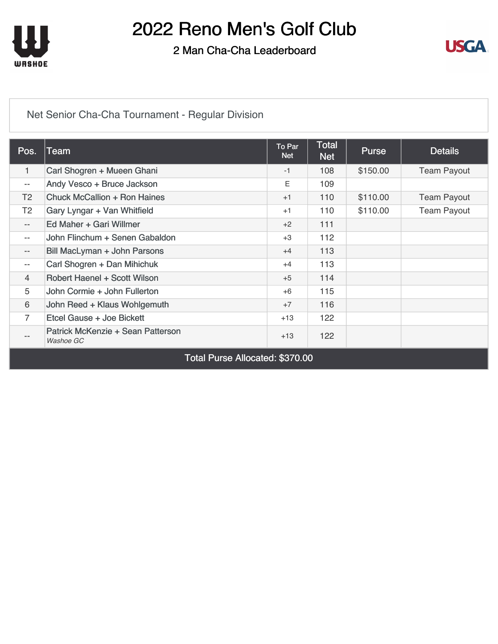

#### 2 Man Cha-Cha Leaderboard



#### [Net Senior Cha-Cha Tournament - Regular Division](https://cdn2.golfgenius.com/v2tournaments/8393560030619655350?called_from=&round_index=2)

| Pos.                            | Team                                           | To Par<br><b>Net</b> | <b>Total</b><br><b>Net</b> | <b>Purse</b> | <b>Details</b>     |  |
|---------------------------------|------------------------------------------------|----------------------|----------------------------|--------------|--------------------|--|
| 1                               | Carl Shogren + Mueen Ghani                     | $-1$                 | 108                        | \$150.00     | <b>Team Payout</b> |  |
| $- -$                           | Andy Vesco + Bruce Jackson                     | Ε                    | 109                        |              |                    |  |
| T <sub>2</sub>                  | <b>Chuck McCallion + Ron Haines</b>            | $+1$                 | 110                        | \$110.00     | <b>Team Payout</b> |  |
| T <sub>2</sub>                  | Gary Lyngar + Van Whitfield                    | $+1$                 | 110                        | \$110.00     | <b>Team Payout</b> |  |
| $\qquad \qquad -$               | Ed Maher + Gari Willmer                        | $+2$                 | 111                        |              |                    |  |
| $-$                             | John Flinchum + Senen Gabaldon                 | $+3$                 | 112                        |              |                    |  |
| $\qquad \qquad -$               | Bill MacLyman + John Parsons                   | $+4$                 | 113                        |              |                    |  |
| $- -$                           | Carl Shogren + Dan Mihichuk                    | $+4$                 | 113                        |              |                    |  |
| $\overline{4}$                  | Robert Haenel + Scott Wilson                   | $+5$                 | 114                        |              |                    |  |
| 5                               | John Cormie + John Fullerton                   | $+6$                 | 115                        |              |                    |  |
| 6                               | John Reed + Klaus Wohlgemuth                   | $+7$                 | 116                        |              |                    |  |
| 7                               | Etcel Gause + Joe Bickett                      | $+13$                | 122                        |              |                    |  |
| $\qquad \qquad -$               | Patrick McKenzie + Sean Patterson<br>Washoe GC | $+13$                | 122                        |              |                    |  |
| Total Purse Allocated: \$370.00 |                                                |                      |                            |              |                    |  |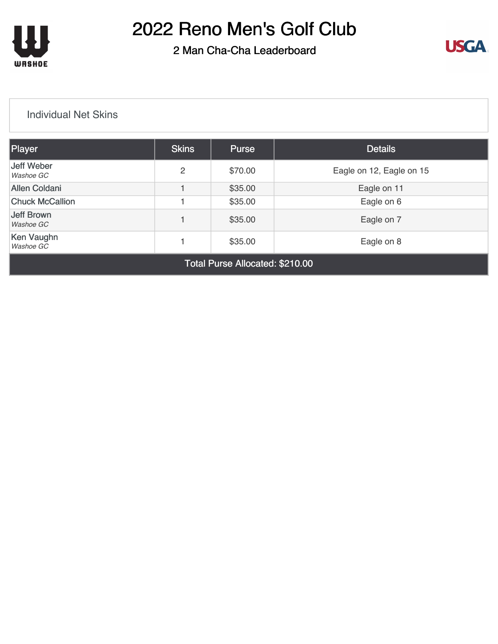

### 2 Man Cha-Cha Leaderboard



#### [Individual Net Skins](https://cdn2.golfgenius.com/v2tournaments/8161025725512572204?called_from=&round_index=2)

| Player                             | <b>Skins</b> | <b>Purse</b> | <b>Details</b>           |  |  |
|------------------------------------|--------------|--------------|--------------------------|--|--|
| Jeff Weber<br>Washoe GC            | 2            | \$70.00      | Eagle on 12, Eagle on 15 |  |  |
| <b>Allen Coldani</b>               |              | \$35.00      | Eagle on 11              |  |  |
| <b>Chuck McCallion</b>             |              | \$35.00      | Eagle on 6               |  |  |
| Jeff Brown<br>Washoe GC            |              | \$35.00      | Eagle on 7               |  |  |
| Ken Vaughn<br>\$35.00<br>Washoe GC |              |              | Eagle on 8               |  |  |
| Total Purse Allocated: \$210.00    |              |              |                          |  |  |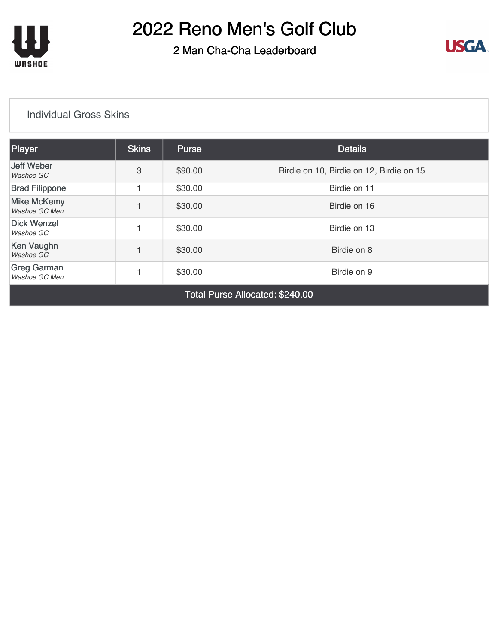

### 2 Man Cha-Cha Leaderboard



#### [Individual Gross Skins](https://cdn2.golfgenius.com/v2tournaments/8161025742960876845?called_from=&round_index=2)

| Player                              | <b>Skins</b> | <b>Purse</b> | <b>Details</b>                           |  |  |
|-------------------------------------|--------------|--------------|------------------------------------------|--|--|
| Jeff Weber<br>Washoe GC             | 3            | \$90.00      | Birdie on 10, Birdie on 12, Birdie on 15 |  |  |
| <b>Brad Filippone</b>               |              | \$30.00      | Birdie on 11                             |  |  |
| <b>Mike McKemy</b><br>Washoe GC Men |              | \$30.00      | Birdie on 16                             |  |  |
| <b>Dick Wenzel</b><br>Washoe GC     |              | \$30.00      | Birdie on 13                             |  |  |
| Ken Vaughn<br>Washoe GC             |              | \$30.00      | Birdie on 8                              |  |  |
| <b>Greg Garman</b><br>Washoe GC Men |              | \$30.00      | Birdie on 9                              |  |  |
| Total Purse Allocated: \$240.00     |              |              |                                          |  |  |